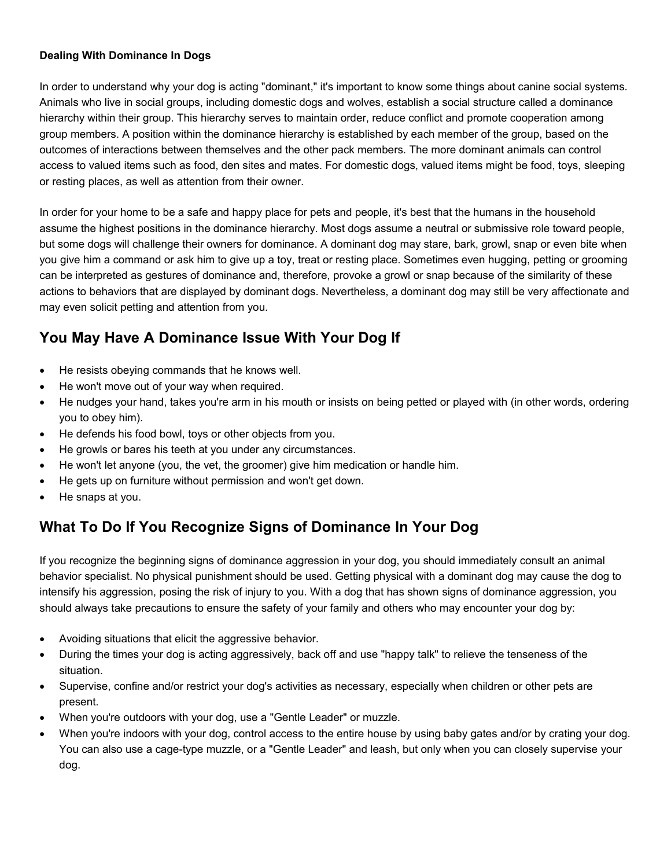## **Dealing With Dominance In Dogs**

In order to understand why your dog is acting "dominant," it's important to know some things about canine social systems. Animals who live in social groups, including domestic dogs and wolves, establish a social structure called a dominance hierarchy within their group. This hierarchy serves to maintain order, reduce conflict and promote cooperation among group members. A position within the dominance hierarchy is established by each member of the group, based on the outcomes of interactions between themselves and the other pack members. The more dominant animals can control access to valued items such as food, den sites and mates. For domestic dogs, valued items might be food, toys, sleeping or resting places, as well as attention from their owner.

In order for your home to be a safe and happy place for pets and people, it's best that the humans in the household assume the highest positions in the dominance hierarchy. Most dogs assume a neutral or submissive role toward people, but some dogs will challenge their owners for dominance. A dominant dog may stare, bark, growl, snap or even bite when you give him a command or ask him to give up a toy, treat or resting place. Sometimes even hugging, petting or grooming can be interpreted as gestures of dominance and, therefore, provoke a growl or snap because of the similarity of these actions to behaviors that are displayed by dominant dogs. Nevertheless, a dominant dog may still be very affectionate and may even solicit petting and attention from you.

## **You May Have A Dominance Issue With Your Dog If**

- He resists obeying commands that he knows well.
- He won't move out of your way when required.
- He nudges your hand, takes you're arm in his mouth or insists on being petted or played with (in other words, ordering you to obey him).
- He defends his food bowl, toys or other objects from you.
- He growls or bares his teeth at you under any circumstances.
- He won't let anyone (you, the vet, the groomer) give him medication or handle him.
- He gets up on furniture without permission and won't get down.
- He snaps at you.

## **What To Do If You Recognize Signs of Dominance In Your Dog**

If you recognize the beginning signs of dominance aggression in your dog, you should immediately consult an animal behavior specialist. No physical punishment should be used. Getting physical with a dominant dog may cause the dog to intensify his aggression, posing the risk of injury to you. With a dog that has shown signs of dominance aggression, you should always take precautions to ensure the safety of your family and others who may encounter your dog by:

- Avoiding situations that elicit the aggressive behavior.
- During the times your dog is acting aggressively, back off and use "happy talk" to relieve the tenseness of the situation.
- Supervise, confine and/or restrict your dog's activities as necessary, especially when children or other pets are present.
- When you're outdoors with your dog, use a "Gentle Leader" or muzzle.
- When you're indoors with your dog, control access to the entire house by using baby gates and/or by crating your dog. You can also use a cage-type muzzle, or a "Gentle Leader" and leash, but only when you can closely supervise your dog.